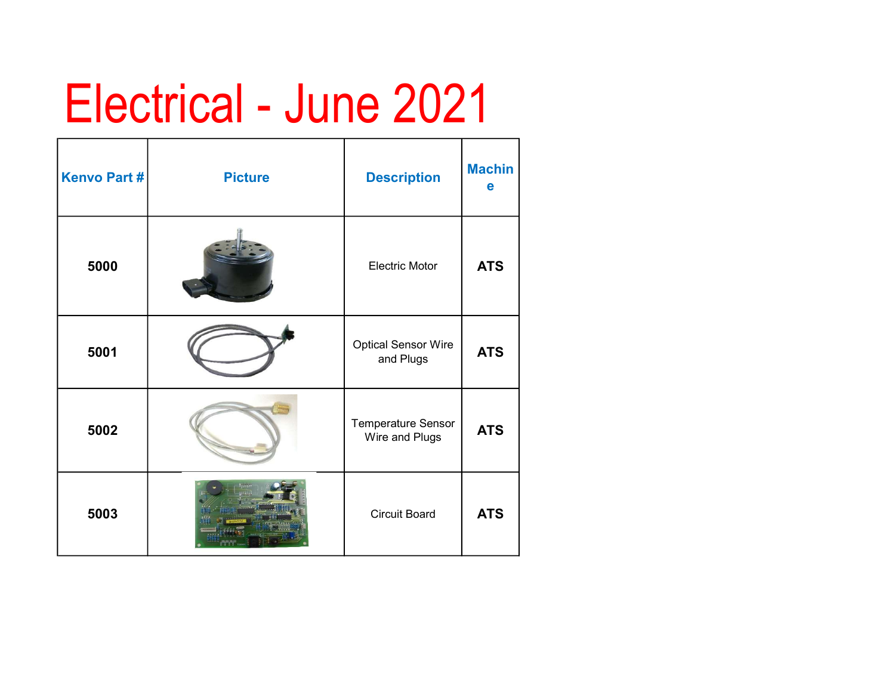## Electrical - June 2021

| <b>Kenvo Part#</b> | <b>Picture</b> | <b>Description</b>                      | <b>Machin</b><br>е |
|--------------------|----------------|-----------------------------------------|--------------------|
| 5000               |                | <b>Electric Motor</b>                   | <b>ATS</b>         |
| 5001               |                | <b>Optical Sensor Wire</b><br>and Plugs | <b>ATS</b>         |
| 5002               |                | Temperature Sensor<br>Wire and Plugs    | <b>ATS</b>         |
| 5003               |                | <b>Circuit Board</b>                    | <b>ATS</b>         |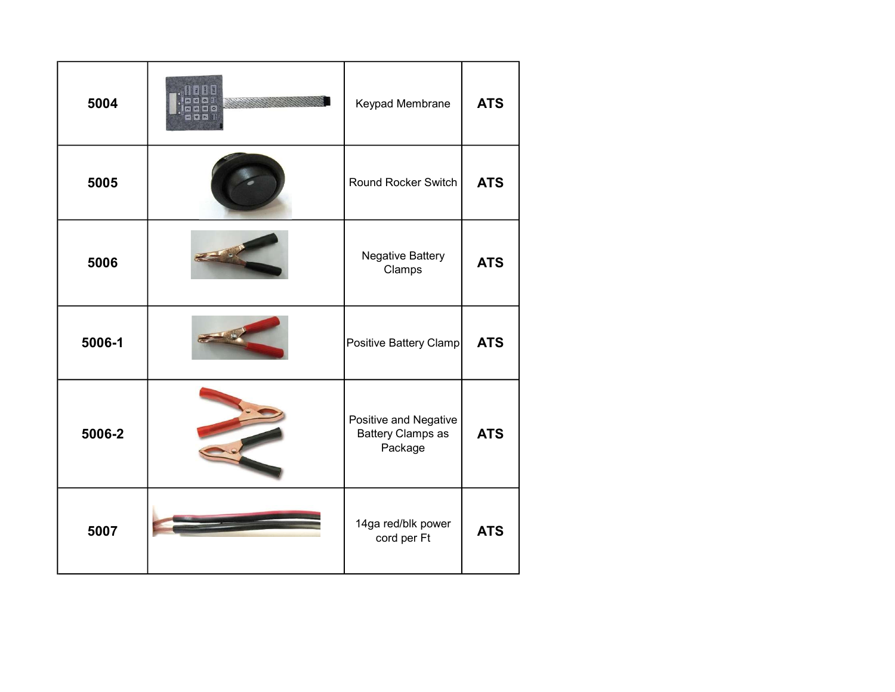| 5004   | Keypad Membrane                                              | <b>ATS</b> |
|--------|--------------------------------------------------------------|------------|
| 5005   | Round Rocker Switch                                          | <b>ATS</b> |
| 5006   | Negative Battery<br>Clamps                                   | <b>ATS</b> |
| 5006-1 | Positive Battery Clamp                                       | <b>ATS</b> |
| 5006-2 | Positive and Negative<br><b>Battery Clamps as</b><br>Package | <b>ATS</b> |
| 5007   | 14ga red/blk power<br>cord per Ft                            | <b>ATS</b> |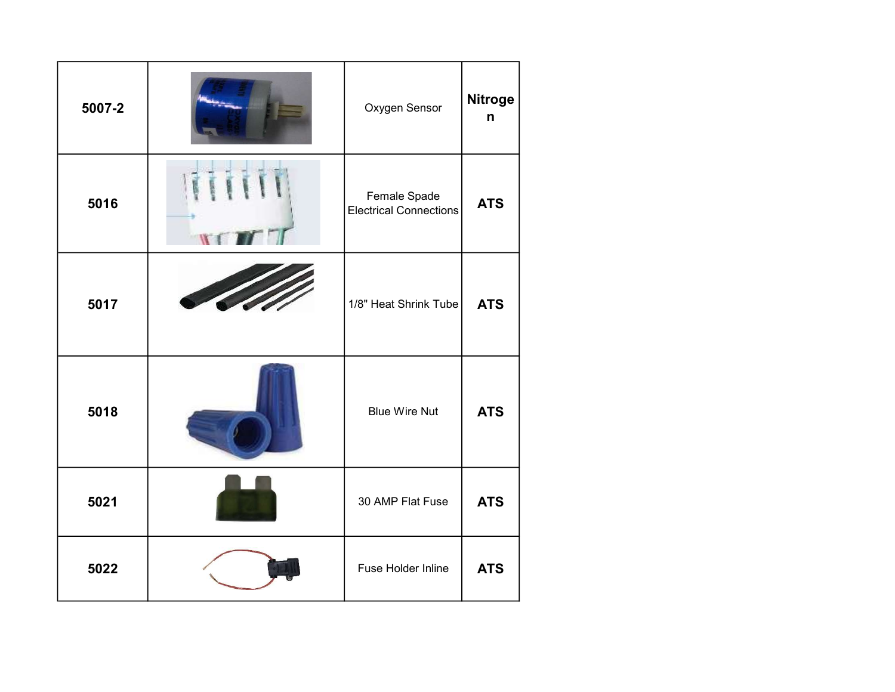| 5007-2 | Oxygen Sensor                                 | Nitroge<br>n |
|--------|-----------------------------------------------|--------------|
| 5016   | Female Spade<br><b>Electrical Connections</b> | <b>ATS</b>   |
| 5017   | 1/8" Heat Shrink Tube                         | <b>ATS</b>   |
| 5018   | <b>Blue Wire Nut</b>                          | <b>ATS</b>   |
| 5021   | 30 AMP Flat Fuse                              | <b>ATS</b>   |
| 5022   | Fuse Holder Inline                            | <b>ATS</b>   |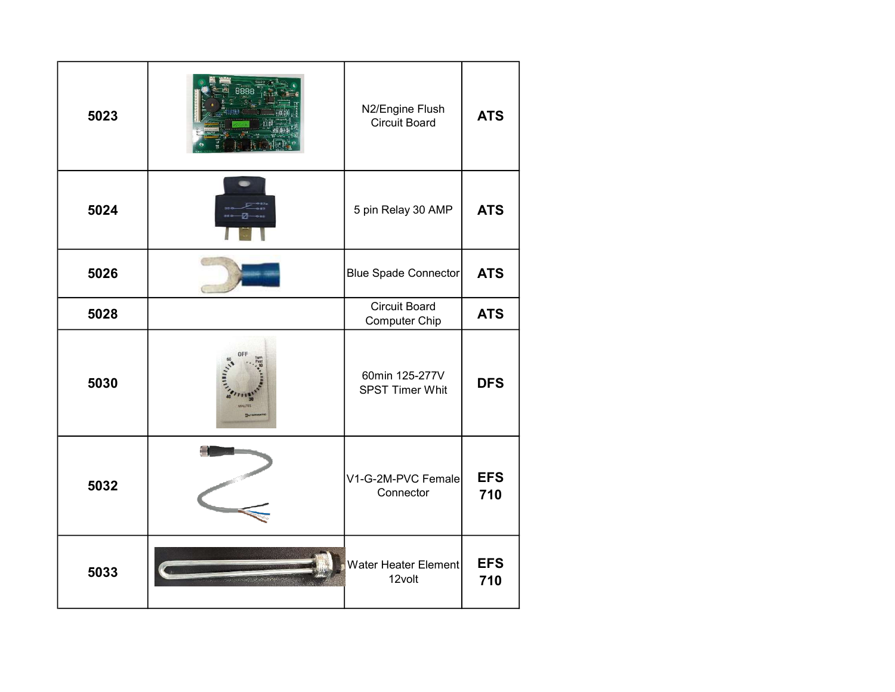| 5023 | N2/Engine Flush<br><b>Circuit Board</b>  | <b>ATS</b>        |
|------|------------------------------------------|-------------------|
| 5024 | 5 pin Relay 30 AMP                       | <b>ATS</b>        |
| 5026 | Blue Spade Connector                     | <b>ATS</b>        |
| 5028 | <b>Circuit Board</b><br>Computer Chip    | <b>ATS</b>        |
| 5030 | 60min 125-277V<br><b>SPST Timer Whit</b> | <b>DFS</b>        |
| 5032 | V1-G-2M-PVC Female<br>Connector          | <b>EFS</b><br>710 |
| 5033 | Water Heater Element<br>12volt           | <b>EFS</b><br>710 |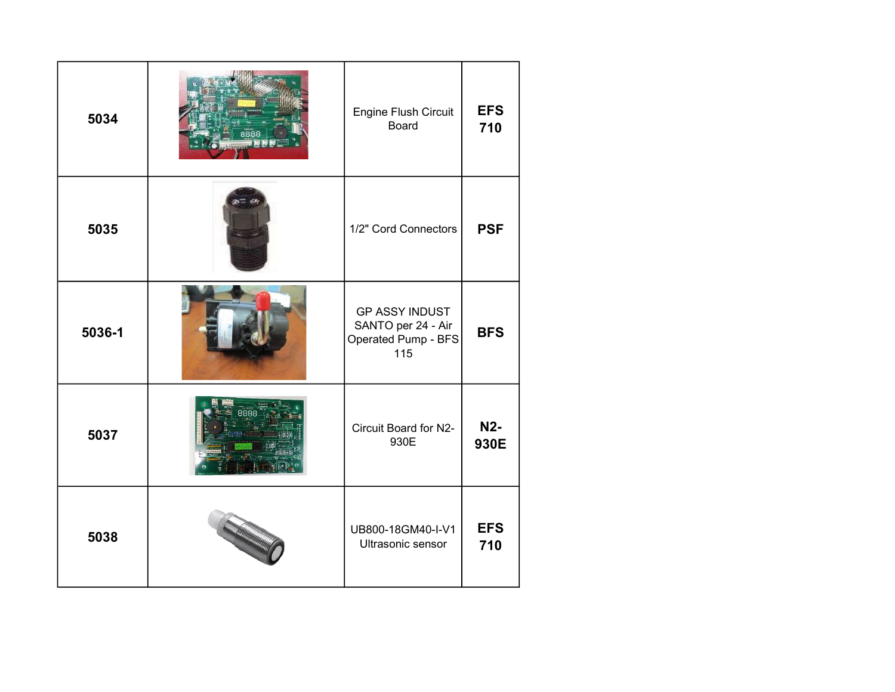| 5034   | Engine Flush Circuit<br><b>Board</b>                                      | <b>EFS</b><br>710  |
|--------|---------------------------------------------------------------------------|--------------------|
| 5035   | 1/2" Cord Connectors                                                      | <b>PSF</b>         |
| 5036-1 | <b>GP ASSY INDUST</b><br>SANTO per 24 - Air<br>Operated Pump - BFS<br>115 | <b>BFS</b>         |
| 5037   | Circuit Board for N2-<br>930E                                             | <b>N2-</b><br>930E |
| 5038   | UB800-18GM40-I-V1<br>Ultrasonic sensor                                    | <b>EFS</b><br>710  |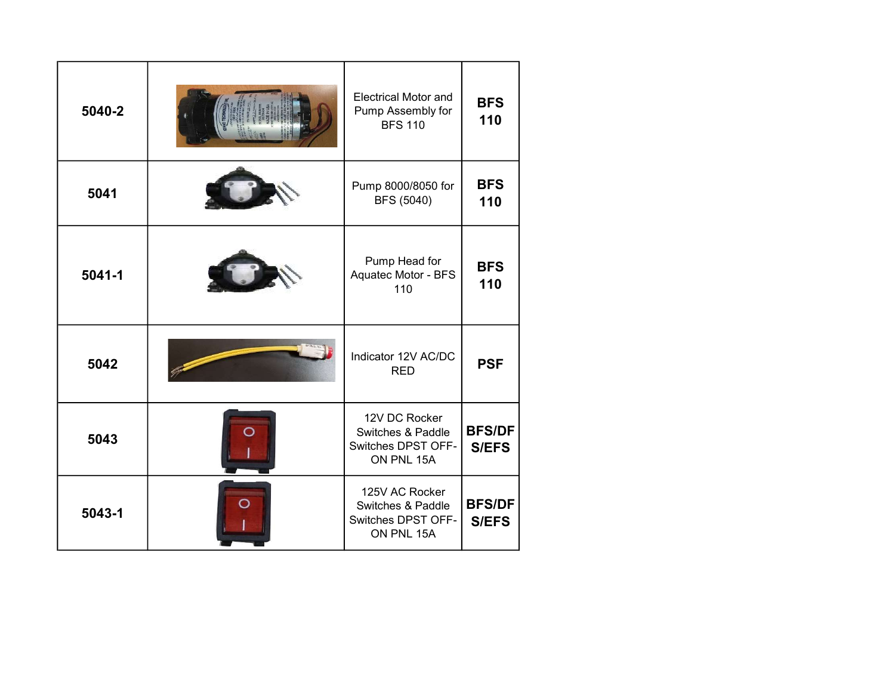| 5040-2     | <b>Electrical Motor and</b><br>Pump Assembly for<br><b>BFS 110</b>      | <b>BFS</b><br>110             |
|------------|-------------------------------------------------------------------------|-------------------------------|
| 5041       | Pump 8000/8050 for<br>BFS (5040)                                        | <b>BFS</b><br>110             |
| $5041 - 1$ | Pump Head for<br>Aquatec Motor - BFS<br>110                             | <b>BFS</b><br>110             |
| 5042       | Indicator 12V AC/DC<br><b>RED</b>                                       | <b>PSF</b>                    |
| 5043       | 12V DC Rocker<br>Switches & Paddle<br>Switches DPST OFF-<br>ON PNL 15A  | <b>BFS/DF</b><br><b>S/EFS</b> |
| 5043-1     | 125V AC Rocker<br>Switches & Paddle<br>Switches DPST OFF-<br>ON PNL 15A | <b>BFS/DF</b><br><b>S/EFS</b> |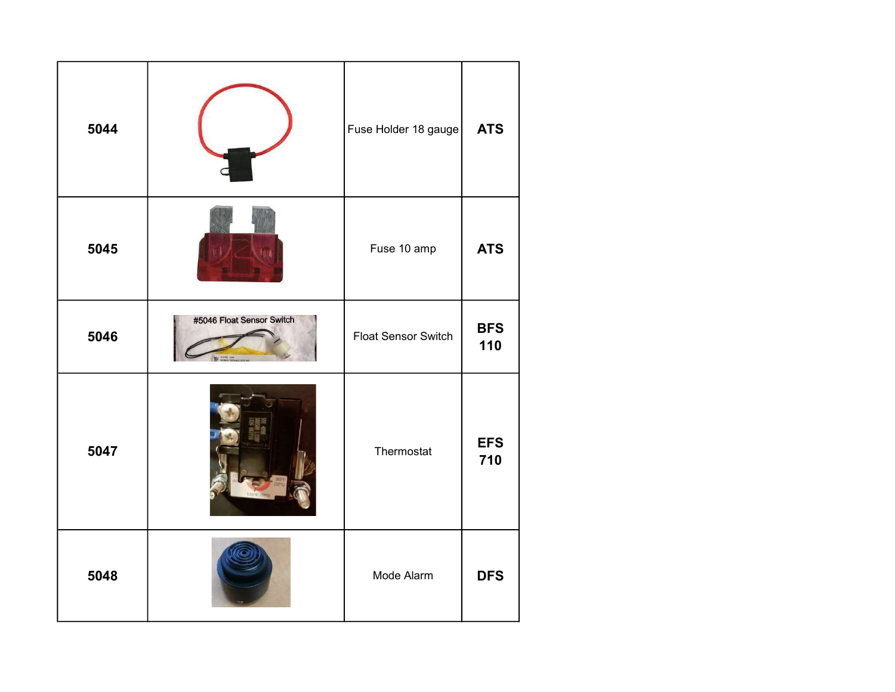| 5044 |                           | Fuse Holder 18 gauge | <b>ATS</b>        |
|------|---------------------------|----------------------|-------------------|
| 5045 |                           | Fuse 10 amp          | <b>ATS</b>        |
| 5046 | #5046 Float Sensor Switch | Float Sensor Switch  | <b>BFS</b><br>110 |
| 5047 |                           | Thermostat           | <b>EFS</b><br>710 |
| 5048 |                           | Mode Alarm           | <b>DFS</b>        |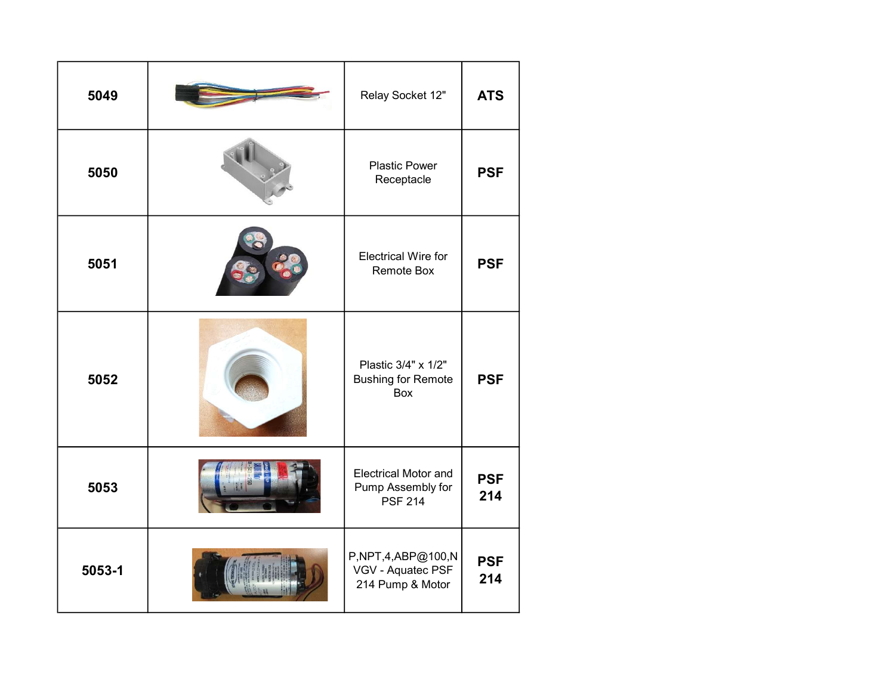| 5049   | Relay Socket 12"                                                   | <b>ATS</b>        |
|--------|--------------------------------------------------------------------|-------------------|
| 5050   | <b>Plastic Power</b><br>Receptacle                                 | <b>PSF</b>        |
| 5051   | <b>Electrical Wire for</b><br><b>Remote Box</b>                    | <b>PSF</b>        |
| 5052   | Plastic 3/4" x 1/2"<br><b>Bushing for Remote</b><br>Box            | <b>PSF</b>        |
| 5053   | <b>Electrical Motor and</b><br>Pump Assembly for<br><b>PSF 214</b> | <b>PSF</b><br>214 |
| 5053-1 | P,NPT,4,ABP@100,N<br>VGV - Aquatec PSF<br>214 Pump & Motor         | <b>PSF</b><br>214 |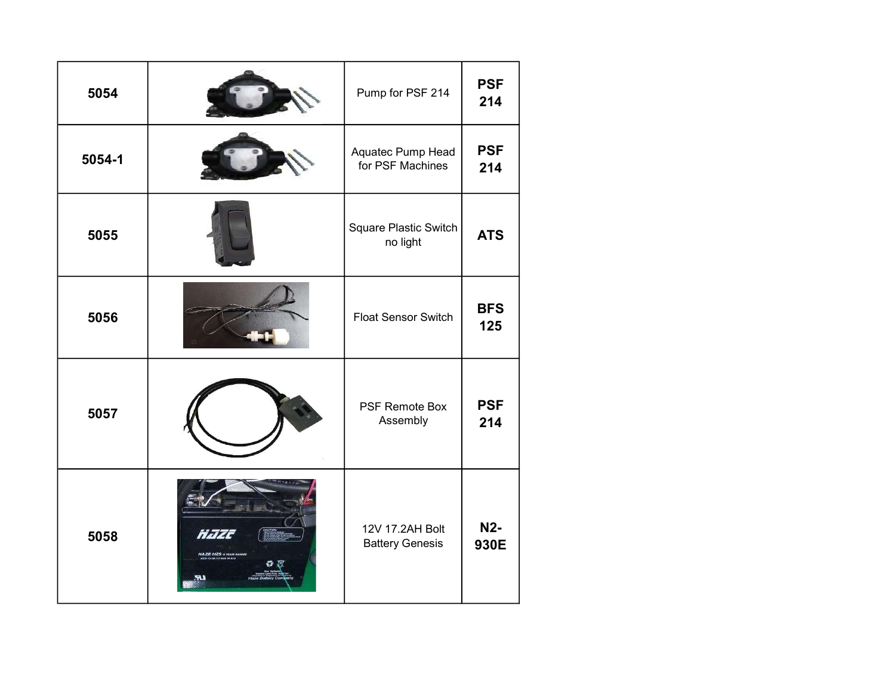| 5054   |             | Pump for PSF 214                          | <b>PSF</b><br>214  |
|--------|-------------|-------------------------------------------|--------------------|
| 5054-1 |             | Aquatec Pump Head<br>for PSF Machines     | <b>PSF</b><br>214  |
| 5055   |             | Square Plastic Switch<br>no light         | <b>ATS</b>         |
| 5056   |             | <b>Float Sensor Switch</b>                | <b>BFS</b><br>125  |
| 5057   |             | <b>PSF Remote Box</b><br>Assembly         | <b>PSF</b><br>214  |
| 5058   | <b>They</b> | 12V 17.2AH Bolt<br><b>Battery Genesis</b> | <b>N2-</b><br>930E |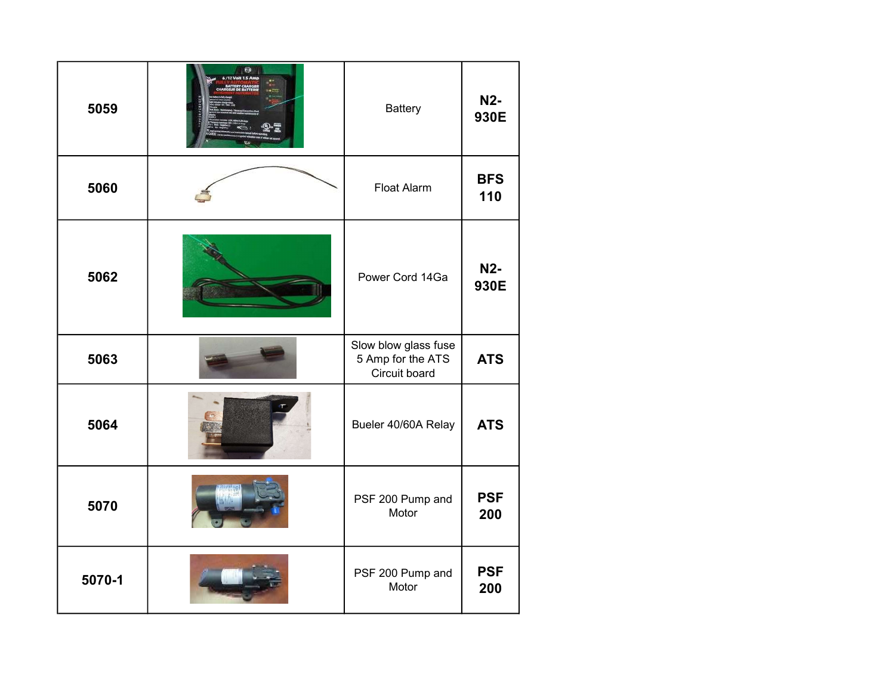| 5059   | $\overline{\mathbf{e}}$ | <b>Battery</b>                                             | <b>N2-</b><br>930E       |
|--------|-------------------------|------------------------------------------------------------|--------------------------|
| 5060   |                         | <b>Float Alarm</b>                                         | <b>BFS</b><br>110        |
| 5062   |                         | Power Cord 14Ga                                            | N <sub>2</sub> -<br>930E |
| 5063   |                         | Slow blow glass fuse<br>5 Amp for the ATS<br>Circuit board | <b>ATS</b>               |
| 5064   |                         | Bueler 40/60A Relay                                        | <b>ATS</b>               |
| 5070   |                         | PSF 200 Pump and<br>Motor                                  | <b>PSF</b><br>200        |
| 5070-1 |                         | PSF 200 Pump and<br>Motor                                  | <b>PSF</b><br>200        |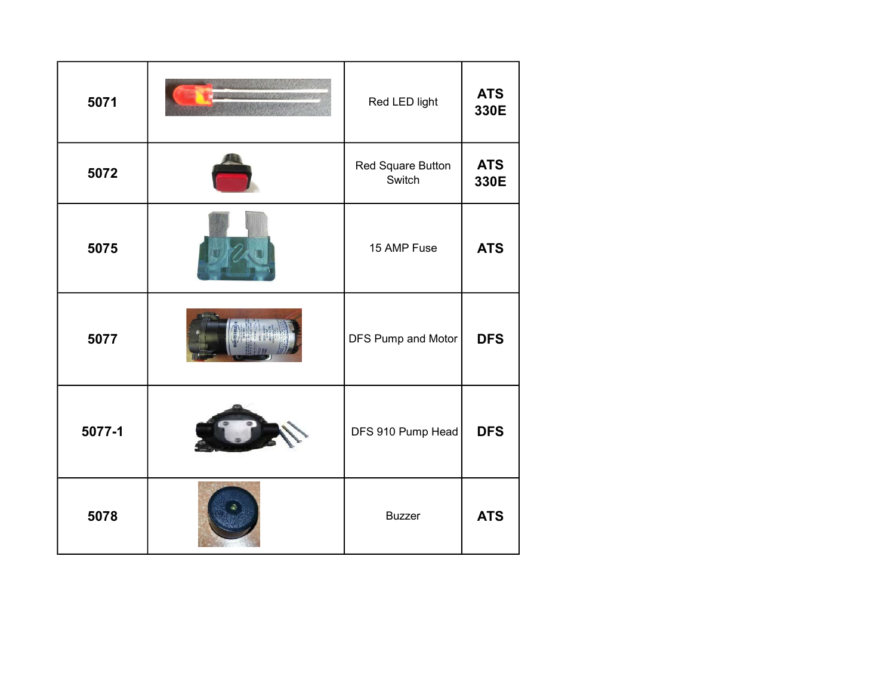| 5071   | Red LED light               | <b>ATS</b><br>330E |
|--------|-----------------------------|--------------------|
| 5072   | Red Square Button<br>Switch | <b>ATS</b><br>330E |
| 5075   | 15 AMP Fuse                 | <b>ATS</b>         |
| 5077   | DFS Pump and Motor          | <b>DFS</b>         |
| 5077-1 | DFS 910 Pump Head           | <b>DFS</b>         |
| 5078   | <b>Buzzer</b>               | <b>ATS</b>         |